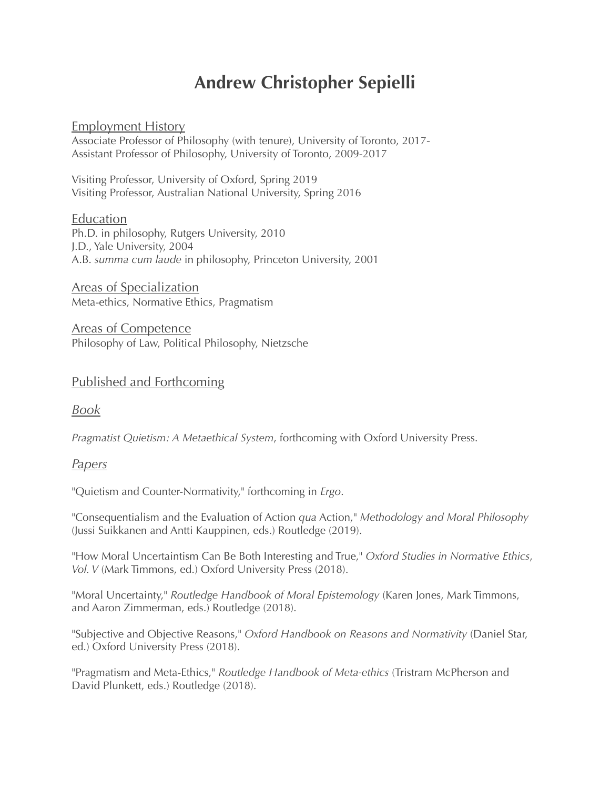# **Andrew Christopher Sepielli**

### Employment History

Associate Professor of Philosophy (with tenure), University of Toronto, 2017- Assistant Professor of Philosophy, University of Toronto, 2009-2017

Visiting Professor, University of Oxford, Spring 2019 Visiting Professor, Australian National University, Spring 2016

#### Education

Ph.D. in philosophy, Rutgers University, 2010 J.D., Yale University, 2004 A.B. *summa cum laude* in philosophy, Princeton University, 2001

Areas of Specialization Meta-ethics, Normative Ethics, Pragmatism

Areas of Competence Philosophy of Law, Political Philosophy, Nietzsche

## Published and Forthcoming

*Book*

*Pragmatist Quietism: A Metaethical System*, forthcoming with Oxford University Press.

### *Papers*

"Quietism and Counter-Normativity," forthcoming in *Ergo*.

"Consequentialism and the Evaluation of Action *qua* Action," *Methodology and Moral Philosophy* (Jussi Suikkanen and Antti Kauppinen, eds.) Routledge (2019).

"How Moral Uncertaintism Can Be Both Interesting and True," *Oxford Studies in Normative Ethics*, *Vol. V* (Mark Timmons, ed.) Oxford University Press (2018).

"Moral Uncertainty," *Routledge Handbook of Moral Epistemology* (Karen Jones, Mark Timmons, and Aaron Zimmerman, eds.) Routledge (2018).

"Subjective and Objective Reasons," *Oxford Handbook on Reasons and Normativity* (Daniel Star, ed.) Oxford University Press (2018).

"Pragmatism and Meta-Ethics," *Routledge Handbook of Meta-ethics* (Tristram McPherson and David Plunkett, eds.) Routledge (2018).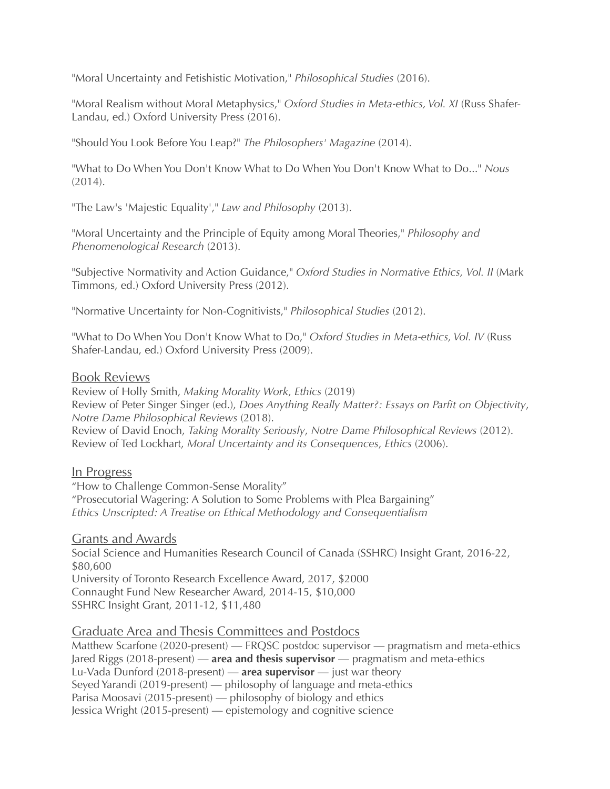"Moral Uncertainty and Fetishistic Motivation," *Philosophical Studies* (2016).

"Moral Realism without Moral Metaphysics," *Oxford Studies in Meta-ethics, Vol. XI* (Russ Shafer-Landau, ed.) Oxford University Press (2016).

"Should You Look Before You Leap?" *The Philosophers' Magazine* (2014).

"What to Do When You Don't Know What to Do When You Don't Know What to Do..." *Nous*  (2014).

"The Law's 'Majestic Equality'," *Law and Philosophy* (2013).

"Moral Uncertainty and the Principle of Equity among Moral Theories," *Philosophy and Phenomenological Research* (2013).

"Subjective Normativity and Action Guidance," *Oxford Studies in Normative Ethics, Vol. II* (Mark Timmons, ed.) Oxford University Press (2012).

"Normative Uncertainty for Non-Cognitivists," *Philosophical Studies* (2012).

"What to Do When You Don't Know What to Do," *Oxford Studies in Meta-ethics, Vol. IV* (Russ Shafer-Landau, ed.) Oxford University Press (2009).

#### Book Reviews

Review of Holly Smith, *Making Morality Work*, *Ethics* (2019) Review of Peter Singer Singer (ed.), *Does Anything Really Matter?: Essays on Parfit on Objectivity*, *Notre Dame Philosophical Reviews* (2018). Review of David Enoch, *Taking Morality Seriously*, *Notre Dame Philosophical Reviews* (2012). Review of Ted Lockhart, *Moral Uncertainty and its Consequences*, *Ethics* (2006).

### In Progress

"How to Challenge Common-Sense Morality" "Prosecutorial Wagering: A Solution to Some Problems with Plea Bargaining" *Ethics Unscripted: A Treatise on Ethical Methodology and Consequentialism* 

Grants and Awards Social Science and Humanities Research Council of Canada (SSHRC) Insight Grant, 2016-22, \$80,600 University of Toronto Research Excellence Award, 2017, \$2000 Connaught Fund New Researcher Award, 2014-15, \$10,000 SSHRC Insight Grant, 2011-12, \$11,480

### Graduate Area and Thesis Committees and Postdocs

Matthew Scarfone (2020-present) — FRQSC postdoc supervisor — pragmatism and meta-ethics Jared Riggs (2018-present) — **area and thesis supervisor** — pragmatism and meta-ethics Lu-Vada Dunford (2018-present) — **area supervisor** — just war theory Seyed Yarandi (2019-present) — philosophy of language and meta-ethics Parisa Moosavi (2015-present) — philosophy of biology and ethics Jessica Wright (2015-present) — epistemology and cognitive science